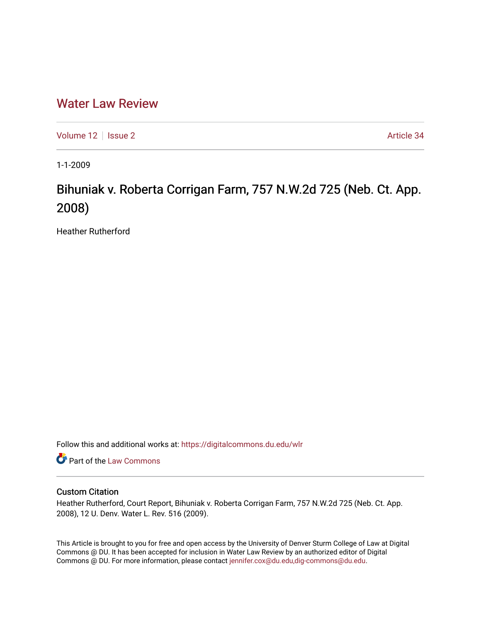# [Water Law Review](https://digitalcommons.du.edu/wlr)

[Volume 12](https://digitalcommons.du.edu/wlr/vol12) | [Issue 2](https://digitalcommons.du.edu/wlr/vol12/iss2) Article 34

1-1-2009

# Bihuniak v. Roberta Corrigan Farm, 757 N.W.2d 725 (Neb. Ct. App. 2008)

Heather Rutherford

Follow this and additional works at: [https://digitalcommons.du.edu/wlr](https://digitalcommons.du.edu/wlr?utm_source=digitalcommons.du.edu%2Fwlr%2Fvol12%2Fiss2%2F34&utm_medium=PDF&utm_campaign=PDFCoverPages) 

Part of the [Law Commons](http://network.bepress.com/hgg/discipline/578?utm_source=digitalcommons.du.edu%2Fwlr%2Fvol12%2Fiss2%2F34&utm_medium=PDF&utm_campaign=PDFCoverPages)

## Custom Citation

Heather Rutherford, Court Report, Bihuniak v. Roberta Corrigan Farm, 757 N.W.2d 725 (Neb. Ct. App. 2008), 12 U. Denv. Water L. Rev. 516 (2009).

This Article is brought to you for free and open access by the University of Denver Sturm College of Law at Digital Commons @ DU. It has been accepted for inclusion in Water Law Review by an authorized editor of Digital Commons @ DU. For more information, please contact [jennifer.cox@du.edu,dig-commons@du.edu.](mailto:jennifer.cox@du.edu,dig-commons@du.edu)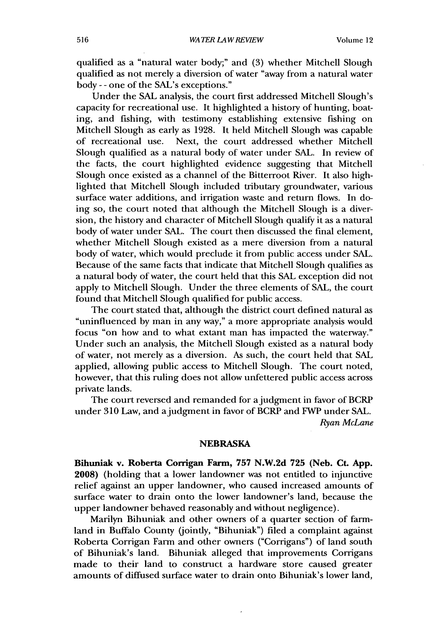qualified as a "natural water body;" and (3) whether Mitchell Slough qualified as not merely a diversion of water "away from a natural water body - - one of the SAL's exceptions."

Under the SAL analysis, the court first addressed Mitchell Slough's capacity for recreational use. It highlighted a history of hunting, boating, and fishing, with testimony establishing extensive fishing on Mitchell Slough as early as 1928. It held Mitchell Slough was capable of recreational use. Next, the court addressed whether Mitchell Slough qualified as a natural body of water under SAL. In review of the facts, the court highlighted evidence suggesting that Mitchell Slough once existed as a channel of the Bitterroot River. It also highlighted that Mitchell Slough included tributary groundwater, various surface water additions, and irrigation waste and return flows. In doing so, the court noted that although the Mitchell Slough is a diversion, the history and character of Mitchell Slough qualify it as a natural body of water under SAL. The court then discussed the final element, whether Mitchell Slough existed as a mere diversion from a natural body of water, which would preclude it from public access under SAL. Because of the same facts that indicate that Mitchell Slough qualifies as a natural body of water, the court held that this SAL exception did not apply to Mitchell Slough. Under the three elements of SAL, the court found that Mitchell Slough qualified for public access.

The court stated that, although the district court defined natural as "uninfluenced by man in any way," a more appropriate analysis would focus "on how and to what extant man has impacted the waterway." Under such an analysis, the Mitchell Slough existed as a natural body of water, not merely as a diversion. As such, the court held that SAL applied, allowing public access to Mitchell Slough. The court noted, however, that this ruling does not allow unfettered public access across private lands.

The court reversed and remanded for a judgment in favor of BCRP under 310 Law, and a judgment in favor of BCRP and FWP under SAL. *Ryan McLane*

#### **NEBRASKA**

**Bihuniak** v. Roberta Corrigan Farm, **757 N.W.2d 725 (Neb. Ct. App. 2008)** (holding that a lower landowner was not entitled to injunctive relief against an upper landowner, who caused increased amounts of surface water to drain onto the lower landowner's land, because the upper landowner behaved reasonably and without negligence).

Marilyn Bihuniak and other owners of a quarter section of farmland in Buffalo County (jointly, "Bihuniak") filed a complaint against Roberta Corrigan Farm and other owners ("Corrigans") of land south of Bihuniak's land. Bihuniak alleged that improvements Corrigans made to their land to construct a hardware store caused greater amounts of diffused surface water to drain onto Bihuniak's lower land,